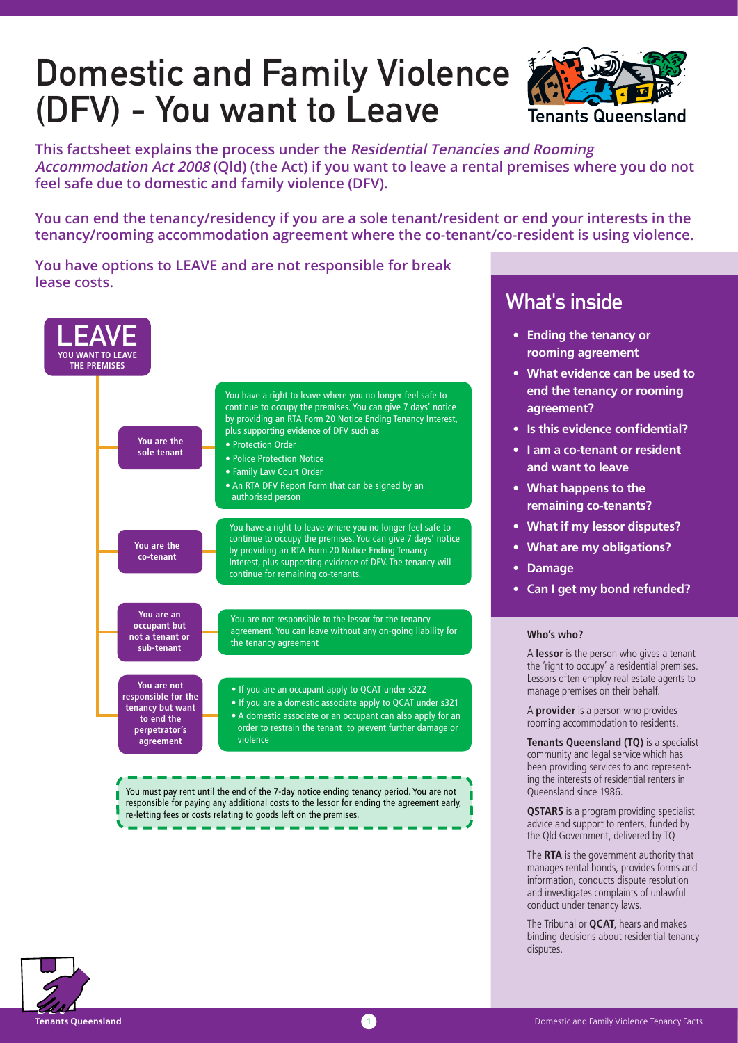# Domestic and Family Violence (DFV) - You want to Leave



**This factsheet explains the process under the Residential Tenancies and Rooming Accommodation Act 2008 (Qld) (the Act) if you want to leave a rental premises where you do not feel safe due to domestic and family violence (DFV).**

**You can end the tenancy/residency if you are a sole tenant/resident or end your interests in the tenancy/rooming accommodation agreement where the co-tenant/co-resident is using violence.**

**You have options to LEAVE and are not responsible for break lease costs.**



# What's inside

- **Ending the tenancy or rooming agreement**
- **What evidence can be used to end the tenancy or rooming agreement?**
- **Is this evidence confidential?**
- **I am a co-tenant or resident and want to leave**
- **What happens to the remaining co-tenants?**
- **What if my lessor disputes?**
- **What are my obligations?**
- **Damage**
- **Can I get my bond refunded?**

#### **Who's who?**

A **lessor** is the person who gives a tenant the 'right to occupy' a residential premises. Lessors often employ real estate agents to manage premises on their behalf.

A **provider** is a person who provides rooming accommodation to residents.

**Tenants Queensland (TQ)** is a specialist community and legal service which has been providing services to and representing the interests of residential renters in Queensland since 1986.

**QSTARS** is a program providing specialist advice and support to renters, funded by the Qld Government, delivered by TQ

The **RTA** is the government authority that manages rental bonds, provides forms and information, conducts dispute resolution and investigates complaints of unlawful conduct under tenancy laws.

The Tribunal or **QCAT**, hears and makes binding decisions about residential tenancy disputes.

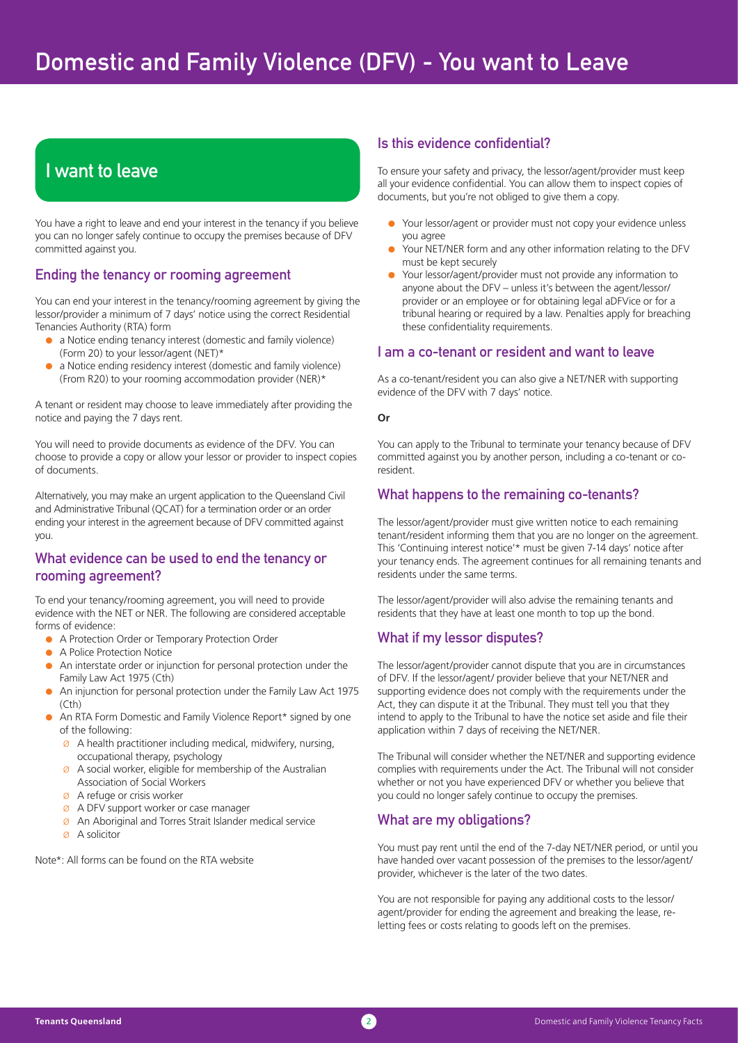# I want to leave

You have a right to leave and end your interest in the tenancy if you believe you can no longer safely continue to occupy the premises because of DFV committed against you.

## Ending the tenancy or rooming agreement

You can end your interest in the tenancy/rooming agreement by giving the lessor/provider a minimum of 7 days' notice using the correct Residential Tenancies Authority (RTA) form

- a Notice ending tenancy interest (domestic and family violence) (Form 20) to your lessor/agent (NET)\*
- a Notice ending residency interest (domestic and family violence) (From R20) to your rooming accommodation provider (NER)\*

A tenant or resident may choose to leave immediately after providing the notice and paying the 7 days rent.

You will need to provide documents as evidence of the DFV. You can choose to provide a copy or allow your lessor or provider to inspect copies of documents.

Alternatively, you may make an urgent application to the Queensland Civil and Administrative Tribunal (QCAT) for a termination order or an order ending your interest in the agreement because of DFV committed against you.

## What evidence can be used to end the tenancy or rooming agreement?

To end your tenancy/rooming agreement, you will need to provide evidence with the NET or NER. The following are considered acceptable forms of evidence:

- A Protection Order or Temporary Protection Order
- A Police Protection Notice
- An interstate order or injunction for personal protection under the Family Law Act 1975 (Cth)
- An injunction for personal protection under the Family Law Act 1975  $(\mathsf{C}^{\dagger}h)$
- An RTA Form Domestic and Family Violence Report\* signed by one of the following:
	- $\emptyset$  A health practitioner including medical, midwifery, nursing, occupational therapy, psychology
	- $\emptyset$  A social worker, eligible for membership of the Australian Association of Social Workers
	- Ø A refuge or crisis worker
	- Ø A DFV support worker or case manager
	- Ø An Aboriginal and Torres Strait Islander medical service
	- Ø A solicitor

Note\*: All forms can be found on the RTA website

#### Is this evidence confidential?

To ensure your safety and privacy, the lessor/agent/provider must keep all your evidence confidential. You can allow them to inspect copies of documents, but you're not obliged to give them a copy.

- Your lessor/agent or provider must not copy your evidence unless you agree
- Your NET/NER form and any other information relating to the DFV must be kept securely
- Your lessor/agent/provider must not provide any information to anyone about the DFV – unless it's between the agent/lessor/ provider or an employee or for obtaining legal aDFVice or for a tribunal hearing or required by a law. Penalties apply for breaching these confidentiality requirements.

## I am a co-tenant or resident and want to leave

As a co-tenant/resident you can also give a NET/NER with supporting evidence of the DFV with 7 days' notice.

#### **Or**

You can apply to the Tribunal to terminate your tenancy because of DFV committed against you by another person, including a co-tenant or coresident.

#### What happens to the remaining co-tenants?

The lessor/agent/provider must give written notice to each remaining tenant/resident informing them that you are no longer on the agreement. This 'Continuing interest notice'\* must be given 7-14 days' notice after your tenancy ends. The agreement continues for all remaining tenants and residents under the same terms.

The lessor/agent/provider will also advise the remaining tenants and residents that they have at least one month to top up the bond.

## What if my lessor disputes?

The lessor/agent/provider cannot dispute that you are in circumstances of DFV. If the lessor/agent/ provider believe that your NET/NER and supporting evidence does not comply with the requirements under the Act, they can dispute it at the Tribunal. They must tell you that they intend to apply to the Tribunal to have the notice set aside and file their application within 7 days of receiving the NET/NER.

The Tribunal will consider whether the NET/NER and supporting evidence complies with requirements under the Act. The Tribunal will not consider whether or not you have experienced DFV or whether you believe that you could no longer safely continue to occupy the premises.

## What are my obligations?

You must pay rent until the end of the 7-day NET/NER period, or until you have handed over vacant possession of the premises to the lessor/agent/ provider, whichever is the later of the two dates.

You are not responsible for paying any additional costs to the lessor/ agent/provider for ending the agreement and breaking the lease, reletting fees or costs relating to goods left on the premises.